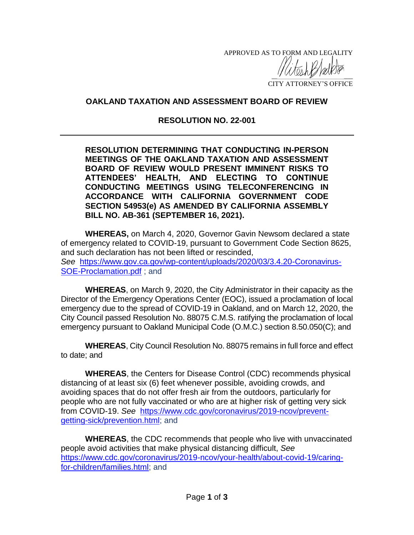APPROVED AS TO FORM AND LEGALITY

 $\frac{1}{2}$ CITY ATTORNEY'S OFFICE

## **OAKLAND TAXATION AND ASSESSMENT BOARD OF REVIEW**

## **RESOLUTION NO. 22-001**

**RESOLUTION DETERMINING THAT CONDUCTING IN-PERSON MEETINGS OF THE OAKLAND TAXATION AND ASSESSMENT BOARD OF REVIEW WOULD PRESENT IMMINENT RISKS TO ATTENDEES' HEALTH, AND ELECTING TO CONTINUE CONDUCTING MEETINGS USING TELECONFERENCING IN ACCORDANCE WITH CALIFORNIA GOVERNMENT CODE SECTION 54953(e) AS AMENDED BY CALIFORNIA ASSEMBLY BILL NO. AB-361 (SEPTEMBER 16, 2021).**

**WHEREAS,** on March 4, 2020, Governor Gavin Newsom declared a state of emergency related to COVID-19, pursuant to Government Code Section 8625, and such declaration has not been lifted or rescinded, *See* [https://www.gov.ca.gov/wp-content/uploads/2020/03/3.4.20-Coronavirus-](https://www.gov.ca.gov/wp-content/uploads/2020/03/3.4.20-Coronavirus-SOE-Proclamation.pdf)[SOE-Proclamation.pdf](https://www.gov.ca.gov/wp-content/uploads/2020/03/3.4.20-Coronavirus-SOE-Proclamation.pdf) ; and

**WHEREAS**, on March 9, 2020, the City Administrator in their capacity as the Director of the Emergency Operations Center (EOC), issued a proclamation of local emergency due to the spread of COVID-19 in Oakland, and on March 12, 2020, the City Council passed Resolution No. 88075 C.M.S. ratifying the proclamation of local emergency pursuant to Oakland Municipal Code (O.M.C.) section 8.50.050(C); and

**WHEREAS**, City Council Resolution No. 88075 remains in full force and effect to date; and

**WHEREAS**, the Centers for Disease Control (CDC) recommends physical distancing of at least six (6) feet whenever possible, avoiding crowds, and avoiding spaces that do not offer fresh air from the outdoors, particularly for people who are not fully vaccinated or who are at higher risk of getting very sick from COVID-19. *See* [https://www.cdc.gov/coronavirus/2019-ncov/prevent](https://www.cdc.gov/coronavirus/2019-ncov/prevent-getting-sick/prevention.html)[getting-sick/prevention.html;](https://www.cdc.gov/coronavirus/2019-ncov/prevent-getting-sick/prevention.html) and

**WHEREAS**, the CDC recommends that people who live with unvaccinated people avoid activities that make physical distancing difficult, *See* [https://www.cdc.gov/coronavirus/2019-ncov/your-health/about-covid-19/caring](https://www.cdc.gov/coronavirus/2019-ncov/your-health/about-covid-19/caring-for-children/families.html)[for-children/families.html;](https://www.cdc.gov/coronavirus/2019-ncov/your-health/about-covid-19/caring-for-children/families.html) and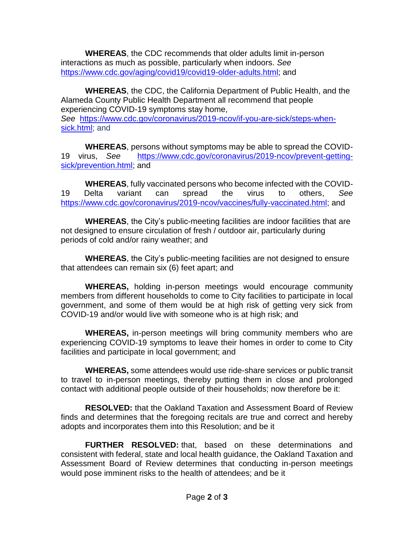**WHEREAS**, the CDC recommends that older adults limit in-person interactions as much as possible, particularly when indoors. *See* [https://www.cdc.gov/aging/covid19/covid19-older-adults.html;](https://www.cdc.gov/aging/covid19/covid19-older-adults.html) and

**WHEREAS**, the CDC, the California Department of Public Health, and the Alameda County Public Health Department all recommend that people experiencing COVID-19 symptoms stay home, *See* [https://www.cdc.gov/coronavirus/2019-ncov/if-you-are-sick/steps-when](https://www.cdc.gov/coronavirus/2019-ncov/if-you-are-sick/steps-when-sick.html)[sick.html;](https://www.cdc.gov/coronavirus/2019-ncov/if-you-are-sick/steps-when-sick.html) and

**WHEREAS**, persons without symptoms may be able to spread the COVID-19 virus, *See* [https://www.cdc.gov/coronavirus/2019-ncov/prevent-getting](https://www.cdc.gov/coronavirus/2019-ncov/prevent-getting-sick/prevention.html)[sick/prevention.html;](https://www.cdc.gov/coronavirus/2019-ncov/prevent-getting-sick/prevention.html) and

**WHEREAS**, fully vaccinated persons who become infected with the COVID-19 Delta variant can spread the virus to others, *See* [https://www.cdc.gov/coronavirus/2019-ncov/vaccines/fully-vaccinated.html;](https://www.cdc.gov/coronavirus/2019-ncov/vaccines/fully-vaccinated.html) and

**WHEREAS**, the City's public-meeting facilities are indoor facilities that are not designed to ensure circulation of fresh / outdoor air, particularly during periods of cold and/or rainy weather; and

**WHEREAS**, the City's public-meeting facilities are not designed to ensure that attendees can remain six (6) feet apart; and

**WHEREAS,** holding in-person meetings would encourage community members from different households to come to City facilities to participate in local government, and some of them would be at high risk of getting very sick from COVID-19 and/or would live with someone who is at high risk; and

**WHEREAS,** in-person meetings will bring community members who are experiencing COVID-19 symptoms to leave their homes in order to come to City facilities and participate in local government; and

**WHEREAS,** some attendees would use ride-share services or public transit to travel to in-person meetings, thereby putting them in close and prolonged contact with additional people outside of their households; now therefore be it:

**RESOLVED:** that the Oakland Taxation and Assessment Board of Review finds and determines that the foregoing recitals are true and correct and hereby adopts and incorporates them into this Resolution; and be it

**FURTHER RESOLVED:** that, based on these determinations and consistent with federal, state and local health guidance, the Oakland Taxation and Assessment Board of Review determines that conducting in-person meetings would pose imminent risks to the health of attendees; and be it